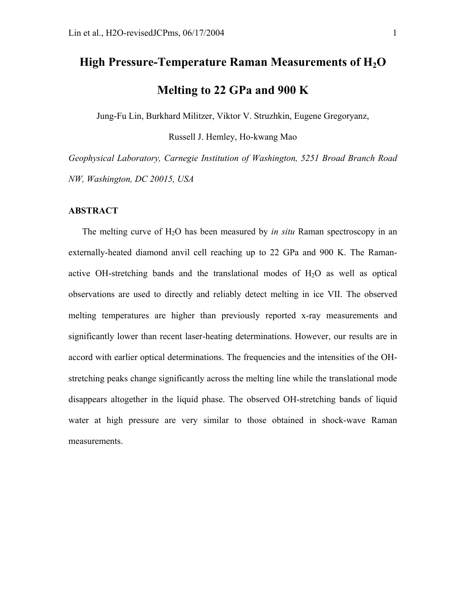# High Pressure-Temperature Raman Measurements of H<sub>2</sub>O **Melting to 22 GPa and 900 K**

Jung-Fu Lin, Burkhard Militzer, Viktor V. Struzhkin, Eugene Gregoryanz,

Russell J. Hemley, Ho-kwang Mao

*Geophysical Laboratory, Carnegie Institution of Washington, 5251 Broad Branch Road NW, Washington, DC 20015, USA*

#### **ABSTRACT**

The melting curve of H<sub>2</sub>O has been measured by *in situ* Raman spectroscopy in an externally-heated diamond anvil cell reaching up to 22 GPa and 900 K. The Ramanactive OH-stretching bands and the translational modes of  $H_2O$  as well as optical observations are used to directly and reliably detect melting in ice VII. The observed melting temperatures are higher than previously reported x-ray measurements and significantly lower than recent laser-heating determinations. However, our results are in accord with earlier optical determinations. The frequencies and the intensities of the OHstretching peaks change significantly across the melting line while the translational mode disappears altogether in the liquid phase. The observed OH-stretching bands of liquid water at high pressure are very similar to those obtained in shock-wave Raman measurements.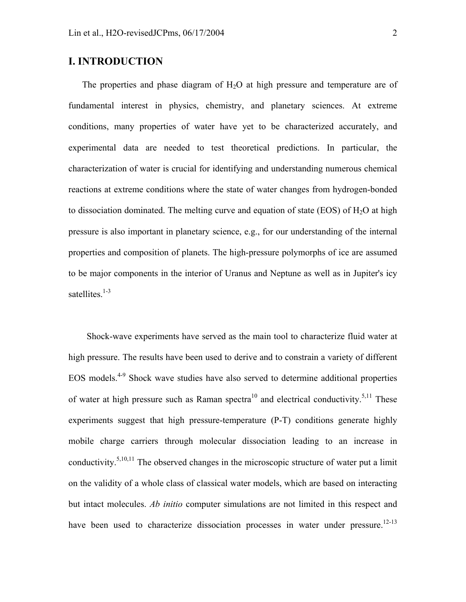# **I. INTRODUCTION**

The properties and phase diagram of  $H<sub>2</sub>O$  at high pressure and temperature are of fundamental interest in physics, chemistry, and planetary sciences. At extreme conditions, many properties of water have yet to be characterized accurately, and experimental data are needed to test theoretical predictions. In particular, the characterization of water is crucial for identifying and understanding numerous chemical reactions at extreme conditions where the state of water changes from hydrogen-bonded to dissociation dominated. The melting curve and equation of state (EOS) of  $H<sub>2</sub>O$  at high pressure is also important in planetary science, e.g., for our understanding of the internal properties and composition of planets. The high-pressure polymorphs of ice are assumed to be major components in the interior of Uranus and Neptune as well as in Jupiter's icy satellites.<sup>1-3</sup>

 Shock-wave experiments have served as the main tool to characterize fluid water at high pressure. The results have been used to derive and to constrain a variety of different EOS models.4-9 Shock wave studies have also served to determine additional properties of water at high pressure such as Raman spectra<sup>10</sup> and electrical conductivity.<sup>5,11</sup> These experiments suggest that high pressure-temperature (P-T) conditions generate highly mobile charge carriers through molecular dissociation leading to an increase in conductivity.<sup>5,10,11</sup> The observed changes in the microscopic structure of water put a limit on the validity of a whole class of classical water models, which are based on interacting but intact molecules. *Ab initio* computer simulations are not limited in this respect and have been used to characterize dissociation processes in water under pressure.<sup>12-13</sup>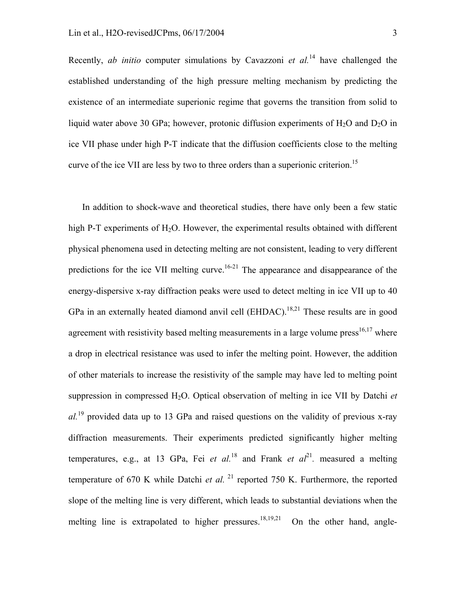Recently, *ab initio* computer simulations by Cavazzoni *et al.*14 have challenged the established understanding of the high pressure melting mechanism by predicting the existence of an intermediate superionic regime that governs the transition from solid to liquid water above 30 GPa; however, protonic diffusion experiments of  $H_2O$  and  $D_2O$  in ice VII phase under high P-T indicate that the diffusion coefficients close to the melting curve of the ice VII are less by two to three orders than a superionic criterion.<sup>15</sup>

In addition to shock-wave and theoretical studies, there have only been a few static high P-T experiments of  $H_2O$ . However, the experimental results obtained with different physical phenomena used in detecting melting are not consistent, leading to very different predictions for the ice VII melting curve.<sup>16-21</sup> The appearance and disappearance of the energy-dispersive x-ray diffraction peaks were used to detect melting in ice VII up to 40 GPa in an externally heated diamond anvil cell  $(EHDAC)$ <sup>18,21</sup>. These results are in good agreement with resistivity based melting measurements in a large volume press<sup>16,17</sup> where a drop in electrical resistance was used to infer the melting point. However, the addition of other materials to increase the resistivity of the sample may have led to melting point suppression in compressed H2O. Optical observation of melting in ice VII by Datchi *et al.*19 provided data up to 13 GPa and raised questions on the validity of previous x-ray diffraction measurements. Their experiments predicted significantly higher melting temperatures, e.g., at 13 GPa, Fei *et al.*<sup>18</sup> and Frank *et al*<sup>21</sup>*.* measured a melting temperature of 670 K while Datchi *et al.* <sup>21</sup> reported 750 K. Furthermore, the reported slope of the melting line is very different, which leads to substantial deviations when the melting line is extrapolated to higher pressures.<sup>18,19,21</sup> On the other hand, angle-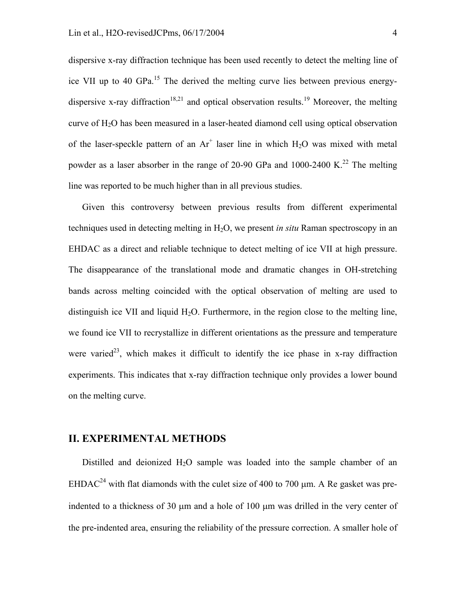dispersive x-ray diffraction technique has been used recently to detect the melting line of ice VII up to 40 GPa.<sup>15</sup> The derived the melting curve lies between previous energydispersive x-ray diffraction<sup>18,21</sup> and optical observation results.<sup>19</sup> Moreover, the melting curve of H2O has been measured in a laser-heated diamond cell using optical observation of the laser-speckle pattern of an  $Ar^+$  laser line in which  $H_2O$  was mixed with metal powder as a laser absorber in the range of 20-90 GPa and  $1000-2400 \text{ K.}^{22}$  The melting line was reported to be much higher than in all previous studies.

Given this controversy between previous results from different experimental techniques used in detecting melting in H2O, we present *in situ* Raman spectroscopy in an EHDAC as a direct and reliable technique to detect melting of ice VII at high pressure. The disappearance of the translational mode and dramatic changes in OH-stretching bands across melting coincided with the optical observation of melting are used to distinguish ice VII and liquid  $H_2O$ . Furthermore, in the region close to the melting line, we found ice VII to recrystallize in different orientations as the pressure and temperature were varied<sup>23</sup>, which makes it difficult to identify the ice phase in x-ray diffraction experiments. This indicates that x-ray diffraction technique only provides a lower bound on the melting curve.

#### **II. EXPERIMENTAL METHODS**

Distilled and deionized  $H_2O$  sample was loaded into the sample chamber of an EHDAC<sup>24</sup> with flat diamonds with the culet size of 400 to 700  $\mu$ m. A Re gasket was preindented to a thickness of 30  $\mu$ m and a hole of 100  $\mu$ m was drilled in the very center of the pre-indented area, ensuring the reliability of the pressure correction. A smaller hole of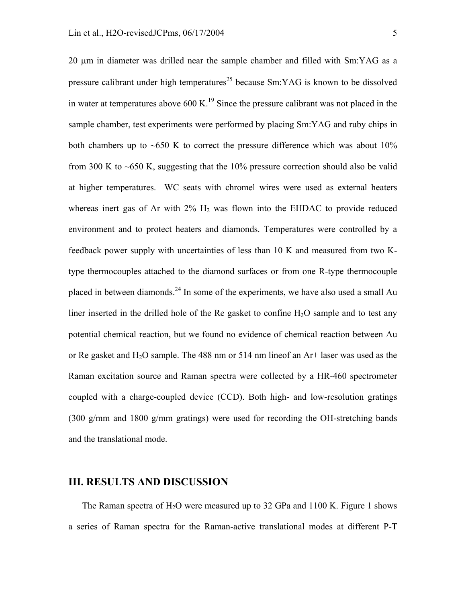20 µm in diameter was drilled near the sample chamber and filled with Sm:YAG as a pressure calibrant under high temperatures<sup>25</sup> because  $Sm:YAG$  is known to be dissolved in water at temperatures above  $600 \text{ K}$ .<sup>19</sup> Since the pressure calibrant was not placed in the sample chamber, test experiments were performed by placing Sm:YAG and ruby chips in both chambers up to  $\sim 650$  K to correct the pressure difference which was about 10% from 300 K to  $\sim$  650 K, suggesting that the 10% pressure correction should also be valid at higher temperatures. WC seats with chromel wires were used as external heaters whereas inert gas of Ar with  $2\%$  H<sub>2</sub> was flown into the EHDAC to provide reduced environment and to protect heaters and diamonds. Temperatures were controlled by a feedback power supply with uncertainties of less than 10 K and measured from two Ktype thermocouples attached to the diamond surfaces or from one R-type thermocouple placed in between diamonds.<sup>24</sup> In some of the experiments, we have also used a small Au liner inserted in the drilled hole of the Re gasket to confine  $H_2O$  sample and to test any potential chemical reaction, but we found no evidence of chemical reaction between Au or Re gasket and  $H_2O$  sample. The 488 nm or 514 nm lineof an  $Ar+$  laser was used as the Raman excitation source and Raman spectra were collected by a HR-460 spectrometer coupled with a charge-coupled device (CCD). Both high- and low-resolution gratings (300 g/mm and 1800 g/mm gratings) were used for recording the OH-stretching bands and the translational mode.

#### **III. RESULTS AND DISCUSSION**

The Raman spectra of  $H_2O$  were measured up to 32 GPa and 1100 K. Figure 1 shows a series of Raman spectra for the Raman-active translational modes at different P-T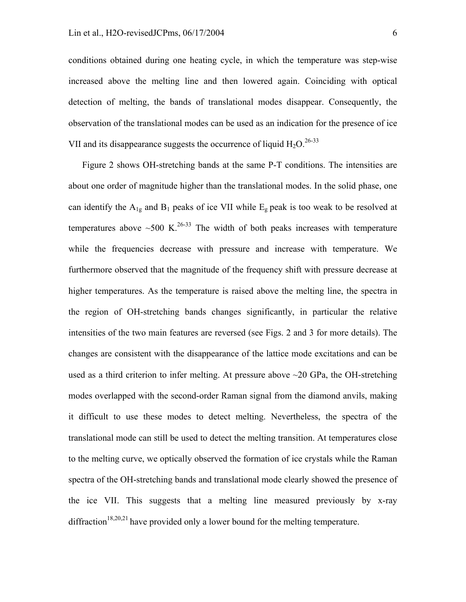conditions obtained during one heating cycle, in which the temperature was step-wise increased above the melting line and then lowered again. Coinciding with optical detection of melting, the bands of translational modes disappear. Consequently, the observation of the translational modes can be used as an indication for the presence of ice VII and its disappearance suggests the occurrence of liquid  $H_2O$ <sup>26-33</sup>

Figure 2 shows OH-stretching bands at the same P-T conditions. The intensities are about one order of magnitude higher than the translational modes. In the solid phase, one can identify the  $A_{1g}$  and  $B_1$  peaks of ice VII while  $E_g$  peak is too weak to be resolved at temperatures above  $\sim$  500 K.<sup>26-33</sup> The width of both peaks increases with temperature while the frequencies decrease with pressure and increase with temperature. We furthermore observed that the magnitude of the frequency shift with pressure decrease at higher temperatures. As the temperature is raised above the melting line, the spectra in the region of OH-stretching bands changes significantly, in particular the relative intensities of the two main features are reversed (see Figs. 2 and 3 for more details). The changes are consistent with the disappearance of the lattice mode excitations and can be used as a third criterion to infer melting. At pressure above  $\sim$ 20 GPa, the OH-stretching modes overlapped with the second-order Raman signal from the diamond anvils, making it difficult to use these modes to detect melting. Nevertheless, the spectra of the translational mode can still be used to detect the melting transition. At temperatures close to the melting curve, we optically observed the formation of ice crystals while the Raman spectra of the OH-stretching bands and translational mode clearly showed the presence of the ice VII. This suggests that a melting line measured previously by x-ray diffraction<sup>18,20,21</sup> have provided only a lower bound for the melting temperature.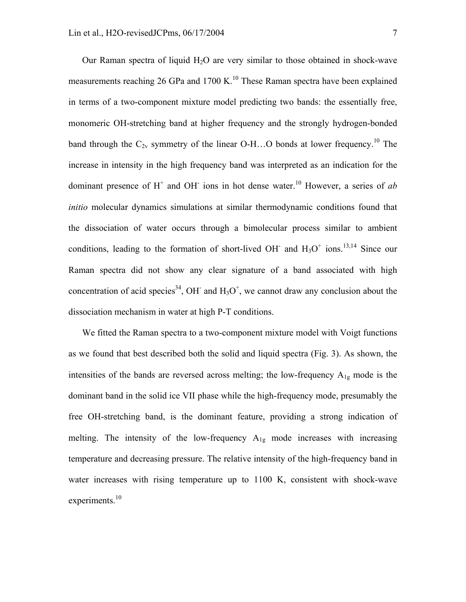Our Raman spectra of liquid  $H_2O$  are very similar to those obtained in shock-wave measurements reaching 26 GPa and 1700 K.<sup>10</sup> These Raman spectra have been explained in terms of a two-component mixture model predicting two bands: the essentially free, monomeric OH-stretching band at higher frequency and the strongly hydrogen-bonded band through the  $C_{2v}$  symmetry of the linear O-H...O bonds at lower frequency.<sup>10</sup> The increase in intensity in the high frequency band was interpreted as an indication for the dominant presence of  $H^+$  and OH<sup>-</sup> ions in hot dense water.<sup>10</sup> However, a series of *ab initio* molecular dynamics simulations at similar thermodynamic conditions found that the dissociation of water occurs through a bimolecular process similar to ambient conditions, leading to the formation of short-lived OH<sup>-</sup> and  $H_3O^+$  ions.<sup>13,14</sup> Since our Raman spectra did not show any clear signature of a band associated with high concentration of acid species<sup>34</sup>, OH<sup>-</sup> and  $H_3O^+$ , we cannot draw any conclusion about the dissociation mechanism in water at high P-T conditions.

We fitted the Raman spectra to a two-component mixture model with Voigt functions as we found that best described both the solid and liquid spectra (Fig. 3). As shown, the intensities of the bands are reversed across melting; the low-frequency  $A_{1g}$  mode is the dominant band in the solid ice VII phase while the high-frequency mode, presumably the free OH-stretching band, is the dominant feature, providing a strong indication of melting. The intensity of the low-frequency  $A_{1g}$  mode increases with increasing temperature and decreasing pressure. The relative intensity of the high-frequency band in water increases with rising temperature up to 1100 K, consistent with shock-wave experiments. $10$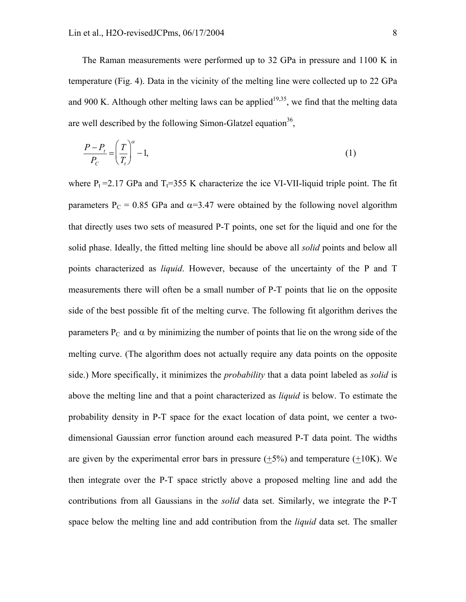The Raman measurements were performed up to 32 GPa in pressure and 1100 K in temperature (Fig. 4). Data in the vicinity of the melting line were collected up to 22 GPa and 900 K. Although other melting laws can be applied<sup>19,35</sup>, we find that the melting data are well described by the following Simon-Glatzel equation<sup>36</sup>,

$$
\frac{P - P_t}{P_C} = \left(\frac{T}{T_t}\right)^{\alpha} - 1,\tag{1}
$$

where  $P_t = 2.17$  GPa and  $T_t = 355$  K characterize the ice VI-VII-liquid triple point. The fit parameters  $P_C = 0.85$  GPa and  $\alpha = 3.47$  were obtained by the following novel algorithm that directly uses two sets of measured P-T points, one set for the liquid and one for the solid phase. Ideally, the fitted melting line should be above all *solid* points and below all points characterized as *liquid*. However, because of the uncertainty of the P and T measurements there will often be a small number of P-T points that lie on the opposite side of the best possible fit of the melting curve. The following fit algorithm derives the parameters  $P_C$  and  $\alpha$  by minimizing the number of points that lie on the wrong side of the melting curve. (The algorithm does not actually require any data points on the opposite side.) More specifically, it minimizes the *probability* that a data point labeled as *solid* is above the melting line and that a point characterized as *liquid* is below. To estimate the probability density in P-T space for the exact location of data point, we center a twodimensional Gaussian error function around each measured P-T data point. The widths are given by the experimental error bars in pressure  $(+5%)$  and temperature  $(+10K)$ . We then integrate over the P-T space strictly above a proposed melting line and add the contributions from all Gaussians in the *solid* data set. Similarly, we integrate the P-T space below the melting line and add contribution from the *liquid* data set. The smaller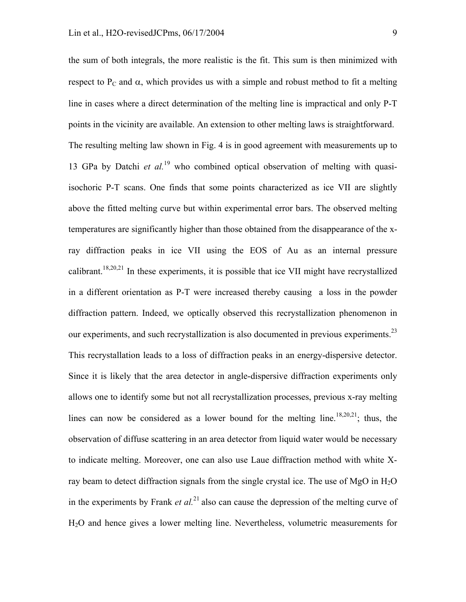the sum of both integrals, the more realistic is the fit. This sum is then minimized with respect to P<sub>C</sub> and  $\alpha$ , which provides us with a simple and robust method to fit a melting line in cases where a direct determination of the melting line is impractical and only P-T points in the vicinity are available. An extension to other melting laws is straightforward. The resulting melting law shown in Fig. 4 is in good agreement with measurements up to 13 GPa by Datchi *et al.*19 who combined optical observation of melting with quasiisochoric P-T scans. One finds that some points characterized as ice VII are slightly above the fitted melting curve but within experimental error bars. The observed melting temperatures are significantly higher than those obtained from the disappearance of the xray diffraction peaks in ice VII using the EOS of Au as an internal pressure calibrant.<sup>18,20,21</sup> In these experiments, it is possible that ice VII might have recrystallized in a different orientation as P-T were increased thereby causing a loss in the powder diffraction pattern. Indeed, we optically observed this recrystallization phenomenon in our experiments, and such recrystallization is also documented in previous experiments.<sup>23</sup> This recrystallation leads to a loss of diffraction peaks in an energy-dispersive detector. Since it is likely that the area detector in angle-dispersive diffraction experiments only allows one to identify some but not all recrystallization processes, previous x-ray melting lines can now be considered as a lower bound for the melting line.<sup>18,20,21</sup>; thus, the observation of diffuse scattering in an area detector from liquid water would be necessary to indicate melting. Moreover, one can also use Laue diffraction method with white Xray beam to detect diffraction signals from the single crystal ice. The use of MgO in  $H<sub>2</sub>O$ in the experiments by Frank *et al.*<sup>21</sup> also can cause the depression of the melting curve of H2O and hence gives a lower melting line. Nevertheless, volumetric measurements for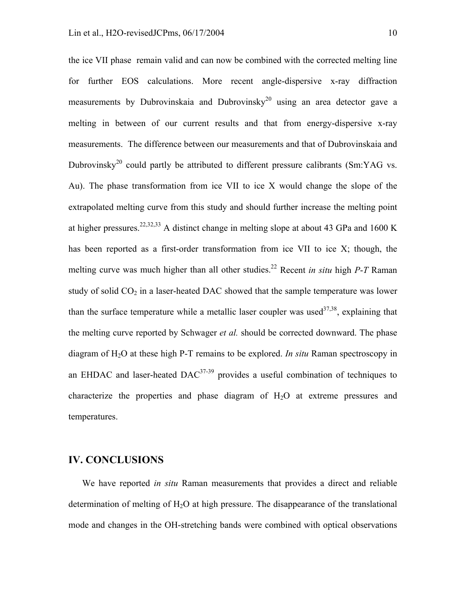the ice VII phase remain valid and can now be combined with the corrected melting line for further EOS calculations. More recent angle-dispersive x-ray diffraction measurements by Dubrovinskaia and Dubrovinsky<sup>20</sup> using an area detector gave a melting in between of our current results and that from energy-dispersive x-ray measurements. The difference between our measurements and that of Dubrovinskaia and Dubrovinsky<sup>20</sup> could partly be attributed to different pressure calibrants (Sm:YAG vs. Au). The phase transformation from ice VII to ice X would change the slope of the extrapolated melting curve from this study and should further increase the melting point at higher pressures.<sup>22,32,33</sup> A distinct change in melting slope at about 43 GPa and 1600 K has been reported as a first-order transformation from ice VII to ice X; though, the melting curve was much higher than all other studies.<sup>22</sup> Recent *in situ* high *P-T* Raman study of solid  $CO<sub>2</sub>$  in a laser-heated DAC showed that the sample temperature was lower than the surface temperature while a metallic laser coupler was used  $37,38$ , explaining that the melting curve reported by Schwager *et al.* should be corrected downward. The phase diagram of H2O at these high P-T remains to be explored. *In situ* Raman spectroscopy in an EHDAC and laser-heated  $DAC^{37-39}$  provides a useful combination of techniques to characterize the properties and phase diagram of  $H_2O$  at extreme pressures and temperatures.

### **IV. CONCLUSIONS**

We have reported *in situ* Raman measurements that provides a direct and reliable determination of melting of  $H_2O$  at high pressure. The disappearance of the translational mode and changes in the OH-stretching bands were combined with optical observations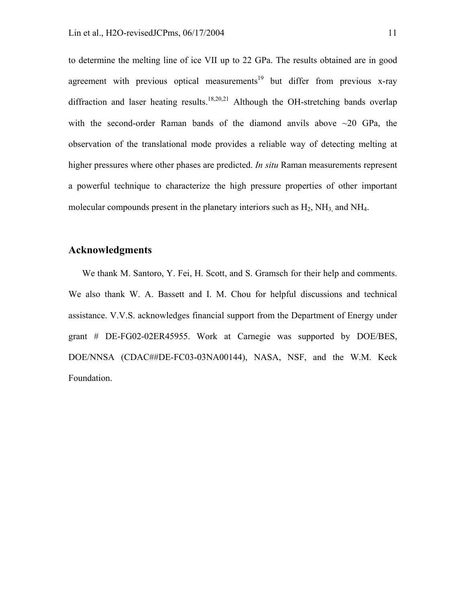to determine the melting line of ice VII up to 22 GPa. The results obtained are in good agreement with previous optical measurements<sup>19</sup> but differ from previous x-ray diffraction and laser heating results.<sup>18,20,21</sup> Although the OH-stretching bands overlap with the second-order Raman bands of the diamond anvils above  $\sim$ 20 GPa, the observation of the translational mode provides a reliable way of detecting melting at higher pressures where other phases are predicted. *In situ* Raman measurements represent a powerful technique to characterize the high pressure properties of other important molecular compounds present in the planetary interiors such as  $H_2$ ,  $NH_3$  and  $NH_4$ .

## **Acknowledgments**

We thank M. Santoro, Y. Fei, H. Scott, and S. Gramsch for their help and comments. We also thank W. A. Bassett and I. M. Chou for helpful discussions and technical assistance. V.V.S. acknowledges financial support from the Department of Energy under grant # DE-FG02-02ER45955. Work at Carnegie was supported by DOE/BES, DOE/NNSA (CDAC##DE-FC03-03NA00144), NASA, NSF, and the W.M. Keck Foundation.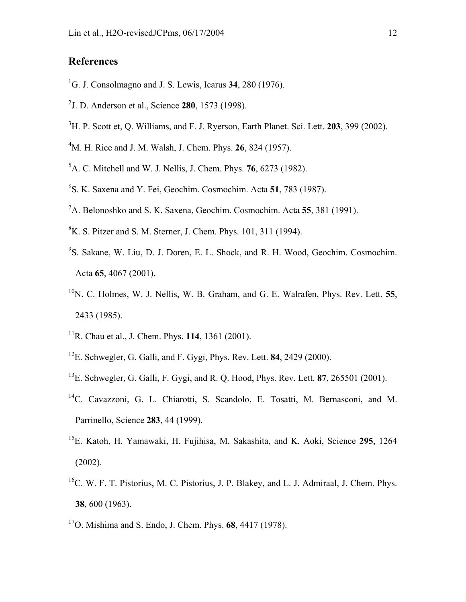# **References**

- 1 G. J. Consolmagno and J. S. Lewis, Icarus **34**, 280 (1976).
- 2 J. D. Anderson et al., Science **280**, 1573 (1998).
- 3 H. P. Scott et, Q. Williams, and F. J. Ryerson, Earth Planet. Sci. Lett. **203**, 399 (2002).
- 4 M. H. Rice and J. M. Walsh, J. Chem. Phys. **26**, 824 (1957).
- 5 A. C. Mitchell and W. J. Nellis, J. Chem. Phys. **76**, 6273 (1982).
- 6 S. K. Saxena and Y. Fei, Geochim. Cosmochim. Acta **51**, 783 (1987).
- 7 A. Belonoshko and S. K. Saxena, Geochim. Cosmochim. Acta **55**, 381 (1991).
- ${}^{8}$ K. S. Pitzer and S. M. Sterner, J. Chem. Phys. 101, 311 (1994).
- 9 S. Sakane, W. Liu, D. J. Doren, E. L. Shock, and R. H. Wood, Geochim. Cosmochim. Acta **65**, 4067 (2001).
- <sup>10</sup>N. C. Holmes, W. J. Nellis, W. B. Graham, and G. E. Walrafen, Phys. Rev. Lett. **55**, 2433 (1985).
- 11R. Chau et al., J. Chem. Phys. **114**, 1361 (2001).
- 12E. Schwegler, G. Galli, and F. Gygi, Phys. Rev. Lett. **84**, 2429 (2000).
- 13E. Schwegler, G. Galli, F. Gygi, and R. Q. Hood, Phys. Rev. Lett. **87**, 265501 (2001).
- <sup>14</sup>C. Cavazzoni, G. L. Chiarotti, S. Scandolo, E. Tosatti, M. Bernasconi, and M. Parrinello, Science **283**, 44 (1999).
- 15E. Katoh, H. Yamawaki, H. Fujihisa, M. Sakashita, and K. Aoki, Science **295**, 1264 (2002).
- $^{16}$ C. W. F. T. Pistorius, M. C. Pistorius, J. P. Blakey, and L. J. Admiraal, J. Chem. Phys. **38**, 600 (1963).
- 17O. Mishima and S. Endo, J. Chem. Phys. **68**, 4417 (1978).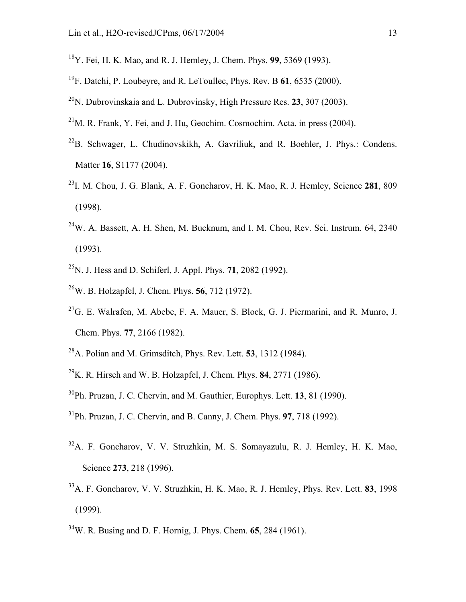- 18Y. Fei, H. K. Mao, and R. J. Hemley, J. Chem. Phys. **99**, 5369 (1993).
- 19F. Datchi, P. Loubeyre, and R. LeToullec, Phys. Rev. B **61**, 6535 (2000).
- 20N. Dubrovinskaia and L. Dubrovinsky, High Pressure Res. **23**, 307 (2003).
- $^{21}$ M. R. Frank, Y. Fei, and J. Hu, Geochim. Cosmochim. Acta. in press (2004).
- $^{22}B$ . Schwager, L. Chudinovskikh, A. Gavriliuk, and R. Boehler, J. Phys.: Condens. Matter **16**, S1177 (2004).
- 23I. M. Chou, J. G. Blank, A. F. Goncharov, H. K. Mao, R. J. Hemley, Science **281**, 809 (1998).
- $24$ W. A. Bassett, A. H. Shen, M. Bucknum, and I. M. Chou, Rev. Sci. Instrum. 64, 2340 (1993).
- 25N. J. Hess and D. Schiferl, J. Appl. Phys. **71**, 2082 (1992).
- 26W. B. Holzapfel, J. Chem. Phys. **56**, 712 (1972).
- $27$ G. E. Walrafen, M. Abebe, F. A. Mauer, S. Block, G. J. Piermarini, and R. Munro, J. Chem. Phys. **77**, 2166 (1982).
- 28A. Polian and M. Grimsditch, Phys. Rev. Lett. **53**, 1312 (1984).
- 29K. R. Hirsch and W. B. Holzapfel, J. Chem. Phys. **84**, 2771 (1986).
- 30Ph. Pruzan, J. C. Chervin, and M. Gauthier, Europhys. Lett. **13**, 81 (1990).
- 31Ph. Pruzan, J. C. Chervin, and B. Canny, J. Chem. Phys. **97**, 718 (1992).
- 32A. F. Goncharov, V. V. Struzhkin, M. S. Somayazulu, R. J. Hemley, H. K. Mao, Science **273**, 218 (1996).
- 33A. F. Goncharov, V. V. Struzhkin, H. K. Mao, R. J. Hemley, Phys. Rev. Lett. **83**, 1998 (1999).
- 34W. R. Busing and D. F. Hornig, J. Phys. Chem. **65**, 284 (1961).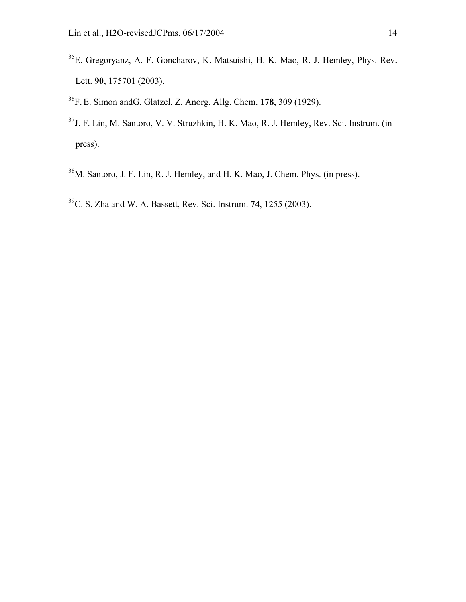- 35E. Gregoryanz, A. F. Goncharov, K. Matsuishi, H. K. Mao, R. J. Hemley, Phys. Rev. Lett. **90**, 175701 (2003).
- 36F. E. Simon andG. Glatzel, Z. Anorg. Allg. Chem. **178**, 309 (1929).
- 37J. F. Lin, M. Santoro, V. V. Struzhkin, H. K. Mao, R. J. Hemley, Rev. Sci. Instrum. (in press).
- 38M. Santoro, J. F. Lin, R. J. Hemley, and H. K. Mao, J. Chem. Phys. (in press).
- 39C. S. Zha and W. A. Bassett, Rev. Sci. Instrum. **74**, 1255 (2003).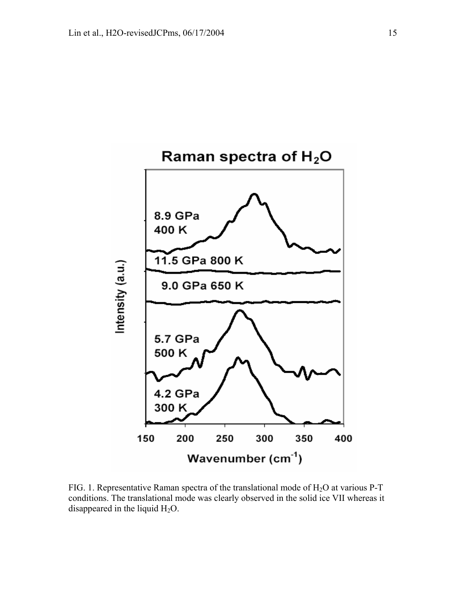

FIG. 1. Representative Raman spectra of the translational mode of  $H_2O$  at various P-T conditions. The translational mode was clearly observed in the solid ice VII whereas it disappeared in the liquid  $H_2O$ .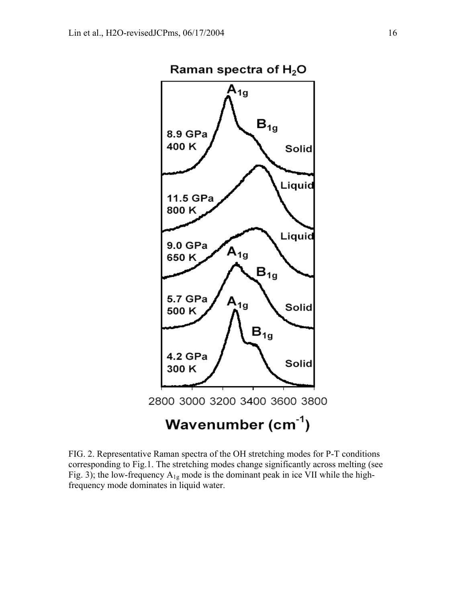

FIG. 2. Representative Raman spectra of the OH stretching modes for P-T conditions corresponding to Fig.1. The stretching modes change significantly across melting (see Fig. 3); the low-frequency  $A_{1g}$  mode is the dominant peak in ice VII while the highfrequency mode dominates in liquid water.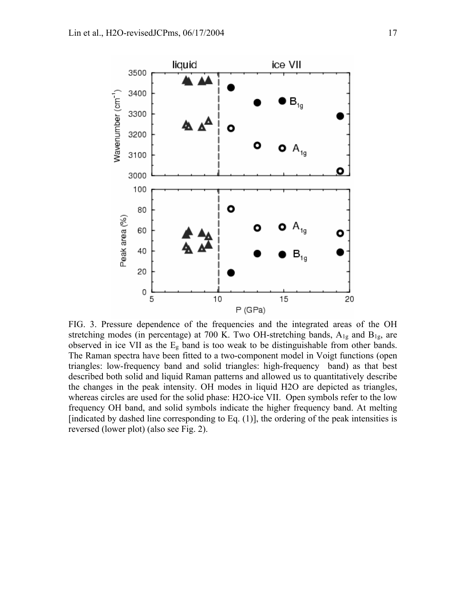

FIG. 3. Pressure dependence of the frequencies and the integrated areas of the OH stretching modes (in percentage) at 700 K. Two OH-stretching bands,  $A_{1g}$  and  $B_{1g}$ , are observed in ice VII as the  $E<sub>g</sub>$  band is too weak to be distinguishable from other bands. The Raman spectra have been fitted to a two-component model in Voigt functions (open triangles: low-frequency band and solid triangles: high-frequency band) as that best described both solid and liquid Raman patterns and allowed us to quantitatively describe the changes in the peak intensity. OH modes in liquid H2O are depicted as triangles, whereas circles are used for the solid phase: H2O-ice VII. Open symbols refer to the low frequency OH band, and solid symbols indicate the higher frequency band. At melting [indicated by dashed line corresponding to Eq.  $(1)$ ], the ordering of the peak intensities is reversed (lower plot) (also see Fig. 2).